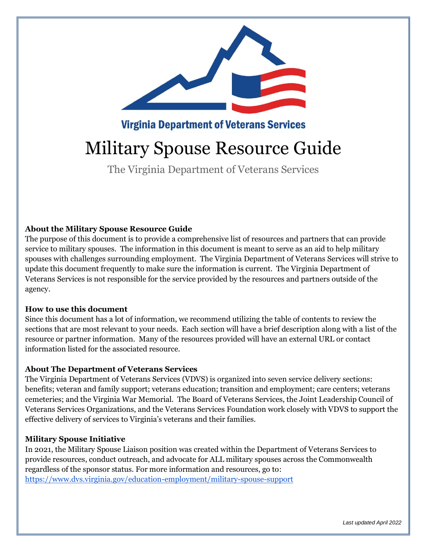

**Virginia Department of Veterans Services** 

# Military Spouse Resource Guide

The Virginia Department of Veterans Services

#### **About the Military Spouse Resource Guide**

The purpose of this document is to provide a comprehensive list of resources and partners that can provide service to military spouses. The information in this document is meant to serve as an aid to help military spouses with challenges surrounding employment. The Virginia Department of Veterans Services will strive to update this document frequently to make sure the information is current. The Virginia Department of Veterans Services is not responsible for the service provided by the resources and partners outside of the agency.

#### **How to use this document**

Since this document has a lot of information, we recommend utilizing the table of contents to review the sections that are most relevant to your needs. Each section will have a brief description along with a list of the resource or partner information. Many of the resources provided will have an external URL or contact information listed for the associated resource.

#### **About The Department of Veterans Services**

The Virginia Department of Veterans Services (VDVS) is organized into seven service delivery sections: benefits; veteran and family support; veterans education; transition and employment; care centers; veterans cemeteries; and the Virginia War Memorial. The Board of Veterans Services, the Joint Leadership Council of Veterans Services Organizations, and the Veterans Services Foundation work closely with VDVS to support the effective delivery of services to Virginia's veterans and their families.

#### **Military Spouse Initiative**

In 2021, the Military Spouse Liaison position was created within the Department of Veterans Services to provide resources, conduct outreach, and advocate for ALL military spouses across the Commonwealth regardless of the sponsor status. For more information and resources, go to: <https://www.dvs.virginia.gov/education-employment/military-spouse-support>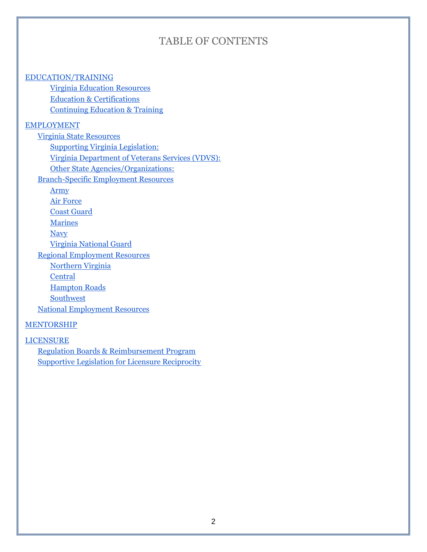## TABLE OF CONTENTS

#### [EDUCATION/TRAINING](#page-2-0)

[Virginia Education Resources](#page-2-1) [Education & Certifications](#page-2-2) [Continuing Education & Training](#page-2-3)

#### [EMPLOYMENT](#page-2-4)

[Virginia State Resources](#page-2-5) [Supporting Virginia Legislation:](#page-2-6) [Virginia Department of Veterans Services \(VDVS\):](#page-3-0) [Other State Agencies/Organizations:](#page-3-1) [Branch-Specific Employment Resources](#page-3-2) [Army](#page-3-3) [Air Force](#page-3-4) [Coast Guard](#page-3-5) **[Marines](#page-3-6) [Navy](#page-4-0)** [Virginia National Guard](#page-4-1) [Regional Employment Resources](#page-4-2) [Northern Virginia](#page-4-3) **[Central](#page-5-0)** [Hampton Roads](#page-5-1) **[Southwest](#page-6-0)** [National Employment Resources](#page-6-1)

#### **[MENTORSHIP](#page-7-0)**

[LICENSURE](#page-7-1) [Regulation Boards & Reimbursement Program](#page-7-2) [Supportive Legislation for Licensure Reciprocity](#page-7-3)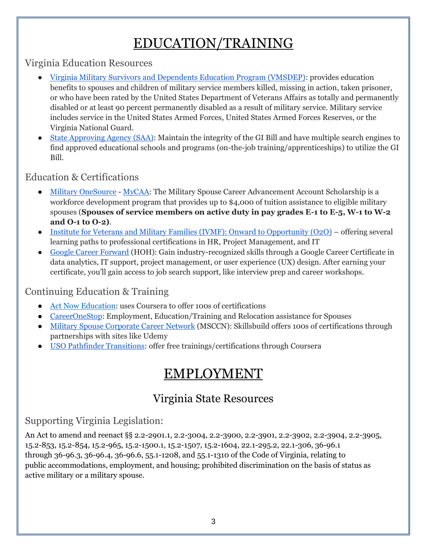# EDUCATION/TRAINING

<span id="page-2-1"></span><span id="page-2-0"></span>Virginia Education Resources

- [Virginia Military Survivors and Dependents Education Program \(VMSDEP\):](https://www.dvs.virginia.gov/education-employment/virginia-military-survivors-and-dependents-education-program-2-2-2) provides education benefits to spouses and children of military service members killed, missing in action, taken prisoner, or who have been rated by the United States Department of Veterans Affairs as totally and permanently disabled or at least 90 percent permanently disabled as a result of military service. Military service includes service in the United States Armed Forces, United States Armed Forces Reserves, or the Virginia National Guard.
- [State Approving Agency \(SAA\):](https://www.dvs.virginia.gov/education-employment/state-approving-agency) Maintain the integrity of the GI Bill and have multiple search engines to find approved educational schools and programs (on-the-job training/apprenticeships) to utilize the GI Bill.

## <span id="page-2-2"></span>Education & Certifications

- [Military OneSource](http://www.militaryonesource.mil/) [MyCAA:](https://mycaa.medcertify.com/?gclid=Cj0KCQjwpreJBhDvARIsAF1_BU3kxl48SMqsvZdOahSCNr9PbvYH2uUuGfAFlOYr8mEkMcwBGEUMdUQaAo6pEALw_wcB) The Military Spouse Career Advancement Account Scholarship is a workforce development program that provides up to \$4,000 of tuition assistance to eligible military spouses (**Spouses of service members on active duty in pay grades E-1 to E-5, W-1 to W-2 and O-1 to O-2)**.
- [Institute for Veterans and Military Families \(IVMF\): Onward to Opportunity \(O2O\)](https://ivmf.syracuse.edu/programs/career-training/) offering several learning paths to professional certifications in HR, Project Management, and IT
- [Google Career Forward](https://www.hiringourheroes.org/career-services/education-networking/career-forward/?utm_source=GwG&utm_medium=web&utm_id=Career+Forward) (HOH): Gain industry-recognized skills through a Google Career Certificate in data analytics, IT support, project management, or user experience (UX) design. After earning your certificate, you'll gain access to job search support, like interview prep and career workshops.

## <span id="page-2-3"></span>Continuing Education & Training

- [Act Now Education:](https://www.actnoweducation.com/) uses Coursera to offer 100s of certifications
- [CareerOneStop:](https://www.careeronestop.org/Veterans/BenefitsAndAssistance/for-military-spouses.aspx) Employment, Education/Training and Relocation assistance for Spouses
- [Military Spouse Corporate Career Network](http://www.msccn.org/) (MSCCN): Skillsbuild offers 100s of certifications through partnerships with sites like Udemy
- <span id="page-2-4"></span>● [USO Pathfinder Transitions:](https://www.uso.org/programs/uso-pathfinder-transition-program) offer free trainings/certifications through Coursera

# EMPLOYMENT

# Virginia State Resources

# <span id="page-2-6"></span><span id="page-2-5"></span>Supporting Virginia Legislation:

An Act to amend and reenact §§ 2.2-2901.1, 2.2-3004, 2.2-3900, 2.2-3901, 2.2-3902, 2.2-3904, 2.2-3905, 15.2-853, 15.2-854, 15.2-965, 15.2-1500.1, 15.2-1507, 15.2-1604, 22.1-295.2, 22.1-306, 36-96.1 through 36-96.3, 36-96.4, 36-96.6, 55.1-1208, and 55.1-1310 of the Code of Virginia, relating to public accommodations, employment, and housing; prohibited discrimination on the basis of status as active military or a military spouse.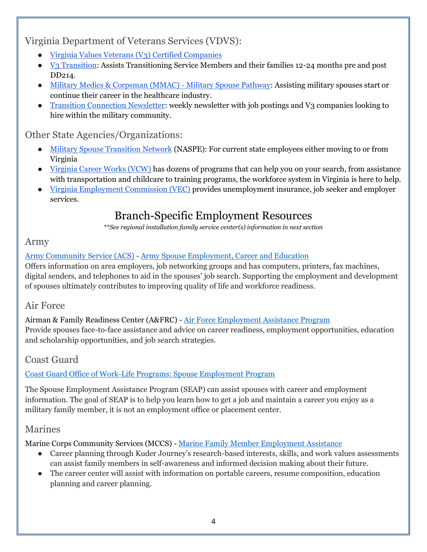<span id="page-3-0"></span>Virginia Department of Veterans Services (VDVS):

- [Virginia Values Veterans \(V3\)](https://dvsv3.com/) Certified Companies
- V<sub>3</sub> Transition: Assists Transitioning Service Members and their families 12-24 months pre and post DD214.
- [Military Medics & Corpsman \(MMAC\) -](https://www.dvs.virginia.gov/education-employment/military-medics-corpsmen-mmac-program) Military Spouse Pathway: Assisting military spouses start or continue their career in the healthcare industry.
- [Transition Connection Newsletter:](https://visitor.r20.constantcontact.com/manage/optin?v=001dIR_YA4Bj-CahU9-TM7H3kFjbHPqdGjXgm4-FCBcDnP9E8SQ3_i3w5x5jJYYJua03Vth-vDGsBYJsbzmCR9PHwdJu8_oVdXhwgWRXEfu0Ms%3D) weekly newsletter with job postings and V3 companies looking to hire within the military community.

#### <span id="page-3-1"></span>Other State Agencies/Organizations:

- [Military Spouse Transition Network](https://www.naspe.net/military-spouse-transition-network) (NASPE): For current state employees either moving to or from Virginia
- [Virginia Career Works \(VCW\)](https://virginiacareerworks.com/) has dozens of programs that can help you on your search, from assistance with transportation and childcare to training programs, the workforce system in Virginia is here to help.
- <span id="page-3-2"></span>● [Virginia Employment Commission \(VEC\)](https://www.vec.virginia.gov/) provides unemployment insurance, job seeker and employer services.

# Branch-Specific Employment Resources

*\*\*See regional installation family service center(s) information in next section*

#### <span id="page-3-3"></span>Army

#### [Army Community Service \(ACS\)](https://www.armymwr.com/programs-and-services/personal-assistance) - [Army Spouse Employment, Career and Education](https://www.armymwr.com/programs-and-services/personal-assistance/employment-readiness-program/army-spouse-employment-career-and-education)

Offers information on area employers, job networking groups and has computers, printers, fax machines, digital senders, and telephones to aid in the spouses' job search. Supporting the employment and development of spouses ultimately contributes to improving quality of life and workforce readiness.

### <span id="page-3-4"></span>Air Force

Airman & Family Readiness Center (A&FRC) - [Air Force Employment Assistance Program](https://www.afpc.af.mil/Airman-and-Family/Employment-Resources/) Provide spouses face-to-face assistance and advice on career readiness, employment opportunities, education and scholarship opportunities, and job search strategies.

### <span id="page-3-5"></span>Coast Guard

#### [Coast Guard Office of Work-Life Programs: Spouse Employment Program](https://www.dcms.uscg.mil/Our-Organization/Assistant-Commandant-for-Human-Resources-CG-1/Health-Safety-and-Work-Life-CG-11/Office-of-Work-Life-CG-111/Spouse-Employment-Program/)

The Spouse Employment Assistance Program (SEAP) can assist spouses with career and employment information. The goal of SEAP is to help you learn how to get a job and maintain a career you enjoy as a military family member, it is not an employment office or placement center.

### <span id="page-3-6"></span>Marines

Marine Corps Community Services (MCCS) - [Marine Family Member Employment Assistance](https://www.usmc-mccs.org/services/career/family-member-employment-assistance/)

- Career planning through Kuder Journey's research-based interests, skills, and work values assessments can assist family members in self-awareness and informed decision making about their future.
- The career center will assist with information on portable careers, resume composition, education planning and career planning.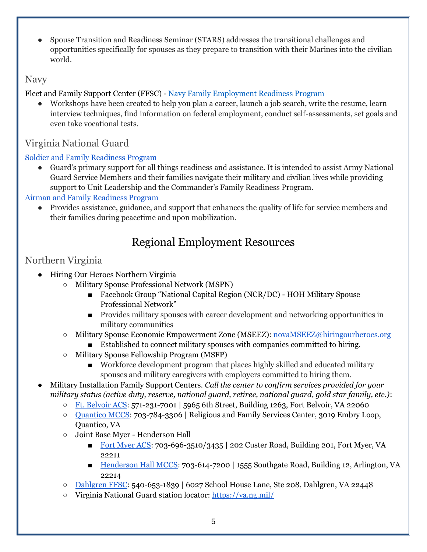● Spouse Transition and Readiness Seminar (STARS) addresses the transitional challenges and opportunities specifically for spouses as they prepare to transition with their Marines into the civilian world.

### <span id="page-4-0"></span>Navy

Fleet and Family Support Center (FFSC) - [Navy Family Employment Readiness Program](https://www.cnic.navy.mil/ffr/family_readiness/fleet_and_family_support_program/work-and-family-life/family_employment/family_employment_readiness_program.html)

Workshops have been created to help you plan a career, launch a job search, write the resume, learn interview techniques, find information on federal employment, conduct self-assessments, set goals and even take vocational tests.

# <span id="page-4-1"></span>Virginia National Guard

#### [Soldier and Family Readiness Program](https://va.ng.mil/Programs-Resources/Family-Programs/Soldier-and-Family-Readiness-Program/)

Guard's primary support for all things readiness and assistance. It is intended to assist Army National Guard Service Members and their families navigate their military and civilian lives while providing support to Unit Leadership and the Commander's Family Readiness Program.

#### [Airman and Family Readiness Program](https://www.192wg.ang.af.mil/Airman-Family-Readiness/)

<span id="page-4-2"></span>● Provides assistance, guidance, and support that enhances the quality of life for service members and their families during peacetime and upon mobilization.

# Regional Employment Resources

## <span id="page-4-3"></span>Northern Virginia

- Hiring Our Heroes Northern Virginia
	- Military Spouse Professional Network (MSPN)
		- Facebook Group "National Capital Region (NCR/DC) HOH Military Spouse Professional Network"
		- Provides military spouses with career development and networking opportunities in military communities
	- Military Spouse Economic Empowerment Zone (MSEEZ): [novaMSEEZ@hiringourheroes.org](mailto:novaMSEEZ@hiringourheroes.org)
		- Established to connect military spouses with companies committed to hiring.
	- Military Spouse Fellowship Program (MSFP)
		- Workforce development program that places highly skilled and educated military spouses and military caregivers with employers committed to hiring them.
- Military Installation Family Support Centers. *Call the center to confirm services provided for your military status (active duty, reserve, national guard, retiree, national guard, gold star family, etc.)*:
	- [Ft. Belvoir ACS:](https://belvoir.armymwr.com/programs/acs) 571-231-7001 | 5965 6th Street, Building 1263, Fort Belvoir, VA 22060
	- [Quantico MCCS:](https://www.quantico.usmc-mccs.org/marine-family/personal-professional-development/family-member-employment-assistance-program-fmeap/) 703-784-3306 | Religious and Family Services Center, 3019 Embry Loop, Quantico, VA
	- Joint Base Myer Henderson Hall
		- [Fort Myer ACS:](https://jbmhh.armymwr.com/programs/army-community-service-acs) 703-696-3510/3435 | 202 Custer Road, Building 201, Fort Myer, VA 22211
		- [Henderson Hall MCCS:](http://www.mccshh.com/mfp/) 703-614-7200 | 1555 Southgate Road, Building 12, Arlington, VA 22214
	- [Dahlgren FFSC:](https://www.navymwrdahlgren.com/programs/e527897b-e90f-483d-a0fc-da4bc5092fff) 540-653-1839 | 6027 School House Lane, Ste 208, Dahlgren, VA 22448
	- Virginia National Guard station locator:<https://va.ng.mil/>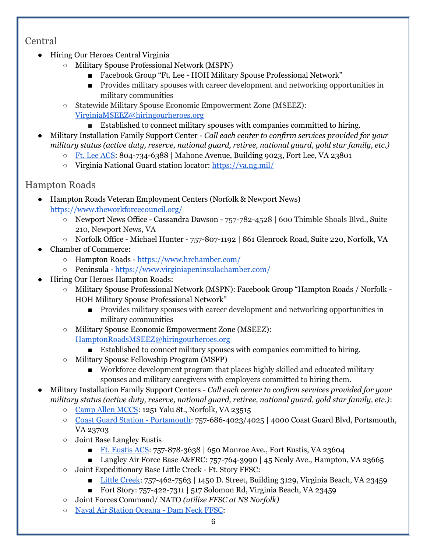### <span id="page-5-0"></span>Central

- Hiring Our Heroes Central Virginia
	- Military Spouse Professional Network (MSPN)
		- Facebook Group "Ft. Lee HOH Military Spouse Professional Network"
		- Provides military spouses with career development and networking opportunities in military communities
	- Statewide Military Spouse Economic Empowerment Zone (MSEEZ): [VirginiaMSEEZ@hiringourheroes.org](mailto:VirginiaMSEEZ@hiringourheroes.org)
		- Established to connect military spouses with companies committed to hiring.
- Military Installation Family Support Center *Call each center to confirm services provided for your military status (active duty, reserve, national guard, retiree, national guard, gold star family, etc.)*
	- [Ft. Lee ACS:](https://lee.armymwr.com/programs/army-community-service) 804-734-6388 | Mahone Avenue, Building 9023, Fort Lee, VA 23801
	- Virginia National Guard station locator:<https://va.ng.mil/>

## <span id="page-5-1"></span>Hampton Roads

● Hampton Roads Veteran Employment Centers (Norfolk & Newport News) <https://www.theworkforcecouncil.org/>

- Newport News Office Cassandra Dawson 757-782-4528 | 600 Thimble Shoals Blvd., Suite 210, Newport News, VA
- Norfolk Office Michael Hunter 757-807-1192 | 861 Glenrock Road, Suite 220, Norfolk, VA
- Chamber of Commerce:
	- Hampton Roads <https://www.hrchamber.com/>
	- Peninsula <https://www.virginiapeninsulachamber.com/>
- Hiring Our Heroes Hampton Roads:
	- Military Spouse Professional Network (MSPN): Facebook Group "Hampton Roads / Norfolk HOH Military Spouse Professional Network"
		- Provides military spouses with career development and networking opportunities in military communities
	- Military Spouse Economic Empowerment Zone (MSEEZ):

[HamptonRoadsMSEEZ@hiringourheroes.org](mailto:HamptonRoadsMSEEZ@hiringourheroes.org)

- Established to connect military spouses with companies committed to hiring.
- Military Spouse Fellowship Program (MSFP)
	- Workforce development program that places highly skilled and educated military spouses and military caregivers with employers committed to hiring them.
- Military Installation Family Support Centers *Call each center to confirm services provided for your military status (active duty, reserve, national guard, retiree, national guard, gold star family, etc.)*:
	- [Camp Allen MCCS:](http://www.mccscampallen.com/) 1251 Yalu St., Norfolk, VA 23515
	- [Coast Guard Station -](https://www.dcms.uscg.mil/Our-Organization/Director-of-Operational-Logistics-DOL/Bases/Base-Portsmouth/Health-Safety-Work-Life-Department/WorkLife/) Portsmouth: 757-686-4023/4025 | 4000 Coast Guard Blvd, Portsmouth, VA 23703
	- Joint Base Langley Eustis
		- [Ft. Eustis ACS:](https://jble-eustismwr.com/acs/) 757-878-3638 | 650 Monroe Ave., Fort Eustis, VA 23604
		- Langley Air Force Base A&FRC: 757-764-3990 | 45 Nealy Ave., Hampton, VA 23665
	- Joint Expeditionary Base Little Creek Ft. Story FFSC:
		- [Little Creek:](https://www.navylifema.com/programs/12c8fa44-f1f5-43ef-a741-0becd1631bd7) 757-462-7563 | 1450 D. Street, Building 3129, Virginia Beach, VA 23459
		- Fort Story:  $757-422-7311$  |  $517$  Solomon Rd, Virginia Beach, VA 23459
	- Joint Forces Command/ NATO *(utilize FFSC at NS Norfolk)*
	- [Naval Air Station Oceana -](https://www.navylifenaso.com/support/ffsc) Dam Neck FFSC: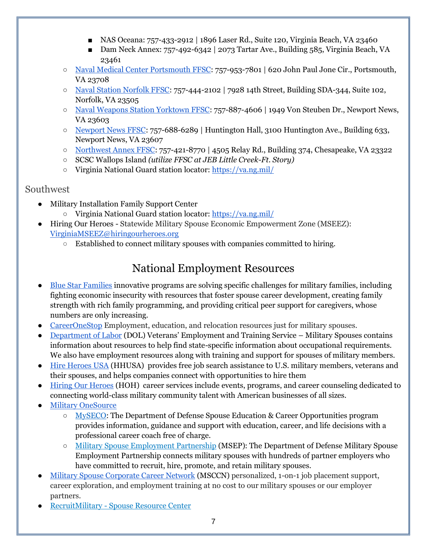- NAS Oceana: 757-433-2912 | 1896 Laser Rd., Suite 120, Virginia Beach, VA 23460
- Dam Neck Annex: 757-492-6342 | 2073 Tartar Ave., Building 585, Virginia Beach, VA 23461
- [Naval Medical Center Portsmouth FFSC:](https://www.navylifema.com/programs/0389d340-ac0e-49ba-aae3-d0f16ba8e8f5) 757-953-7801 | 620 John Paul Jone Cir., Portsmouth, VA 23708
- [Naval Station Norfolk FFSC:](https://www.navylifensn.com/programs/c2c28f41-3526-4d40-babd-bd8f894b7781) 757-444-2102 | 7928 14th Street, Building SDA-344, Suite 102, Norfolk, VA 23505
- [Naval Weapons Station Yorktown FFSC:](https://www.navylifema.com/programs/b7bbc57a-432e-484f-8a27-02fd9c90dc25) 757-887-4606 | 1949 Von Steuben Dr., Newport News, VA 23603
- [Newport News FFSC:](https://www.navylifennsy.com/programs/b3944563-10c1-4179-9b92-3ae57bd81ce6) 757-688-6289 | Huntington Hall, 3100 Huntington Ave., Building 633, Newport News, VA 23607
- [Northwest Annex FFSC:](https://www.navylifema.com/programs/50d06e1e-6fb4-407b-905b-15912f8bf6f8) 757-421-8770 | 4505 Relay Rd., Building 374, Chesapeake, VA 23322
- SCSC Wallops Island *(utilize FFSC at JEB Little Creek-Ft. Story)*
- Virginia National Guard station locator:<https://va.ng.mil/>

#### <span id="page-6-0"></span>Southwest

- Military Installation Family Support Center
	- Virginia National Guard station locator:<https://va.ng.mil/>
- <span id="page-6-1"></span>● Hiring Our Heroes - Statewide Military Spouse Economic Empowerment Zone (MSEEZ): [VirginiaMSEEZ@hiringourheroes.org](mailto:VirginiaMSEEZ@hiringourheroes.org)
	- Established to connect military spouses with companies committed to hiring.

# National Employment Resources

- [Blue Star Families](https://bluestarfam.org/careers/) innovative programs are solving specific challenges for military families, including fighting economic insecurity with resources that foster spouse career development, creating family strength with rich family programming, and providing critical peer support for caregivers, whose numbers are only increasing.
- [CareerOneStop](https://www.careeronestop.org/Veterans/BenefitsAndAssistance/for-military-spouses.aspx) Employment, education, and relocation resources just for military spouses.
- [Department of Labor](https://www.dol.gov/agencies/vets/veterans/military-spouses) (DOL) Veterans' Employment and Training Service Military Spouses contains information about resources to help find state-specific information about occupational requirements. We also have employment resources along with training and support for spouses of military members.
- [Hire Heroes USA](http://hireheroesusa.org/) (HHUSA) provides free job search assistance to U.S. military members, veterans and their spouses, and helps companies connect with opportunities to hire them
- [Hiring Our Heroes](https://www.hiringourheroes.org/) (HOH) career services include events, programs, and career counseling dedicated to connecting world-class military community talent with American businesses of all sizes.
- **[Military OneSource](https://www.militaryonesource.mil/)** 
	- [MySECO:](https://myseco.militaryonesource.mil/portal/) The Department of Defense Spouse Education & Career Opportunities program provides information, guidance and support with education, career, and life decisions with a professional career coach free of charge.
	- [Military Spouse Employment Partnership](https://myseco.militaryonesource.mil/portal/msep/jobsearch) (MSEP): The Department of Defense Military Spouse Employment Partnership connects military spouses with hundreds of partner employers who have committed to recruit, hire, promote, and retain military spouses.
- [Military Spouse Corporate Career Network](http://www.msccn.org/) (MSCCN) personalized, 1-on-1 job placement support, career exploration, and employment training at no cost to our military spouses or our employer partners.
- RecruitMilitary [Spouse Resource Center](https://recruitmilitary.com/job-seekers/resources/industries/military-spouse)